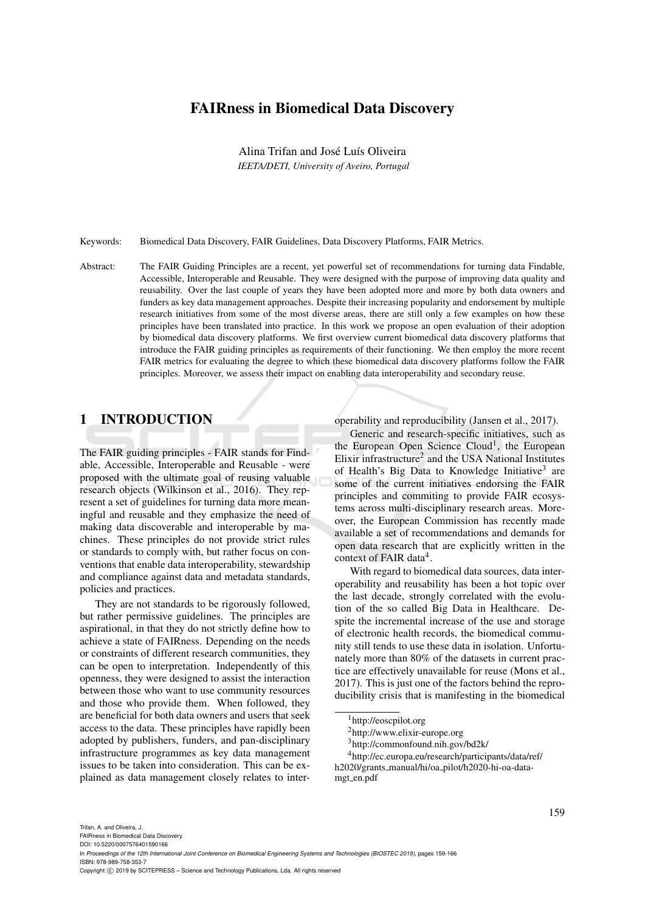# FAIRness in Biomedical Data Discovery

Alina Trifan and José Luís Oliveira *IEETA/DETI, University of Aveiro, Portugal*

Keywords: Biomedical Data Discovery, FAIR Guidelines, Data Discovery Platforms, FAIR Metrics.

Abstract: The FAIR Guiding Principles are a recent, yet powerful set of recommendations for turning data Findable, Accessible, Interoperable and Reusable. They were designed with the purpose of improving data quality and reusability. Over the last couple of years they have been adopted more and more by both data owners and funders as key data management approaches. Despite their increasing popularity and endorsement by multiple research initiatives from some of the most diverse areas, there are still only a few examples on how these principles have been translated into practice. In this work we propose an open evaluation of their adoption by biomedical data discovery platforms. We first overview current biomedical data discovery platforms that introduce the FAIR guiding principles as requirements of their functioning. We then employ the more recent FAIR metrics for evaluating the degree to which these biomedical data discovery platforms follow the FAIR principles. Moreover, we assess their impact on enabling data interoperability and secondary reuse.

#### 1 INTRODUCTION

The FAIR guiding principles - FAIR stands for Findable, Accessible, Interoperable and Reusable - were proposed with the ultimate goal of reusing valuable research objects (Wilkinson et al., 2016). They represent a set of guidelines for turning data more meaningful and reusable and they emphasize the need of making data discoverable and interoperable by machines. These principles do not provide strict rules or standards to comply with, but rather focus on conventions that enable data interoperability, stewardship and compliance against data and metadata standards, policies and practices.

They are not standards to be rigorously followed, but rather permissive guidelines. The principles are aspirational, in that they do not strictly define how to achieve a state of FAIRness. Depending on the needs or constraints of different research communities, they can be open to interpretation. Independently of this openness, they were designed to assist the interaction between those who want to use community resources and those who provide them. When followed, they are beneficial for both data owners and users that seek access to the data. These principles have rapidly been adopted by publishers, funders, and pan-disciplinary infrastructure programmes as key data management issues to be taken into consideration. This can be explained as data management closely relates to interoperability and reproducibility (Jansen et al., 2017).

Generic and research-specific initiatives, such as the European Open Science Cloud<sup>1</sup>, the European Elixir infrastructure<sup>2</sup> and the USA National Institutes of Health's Big Data to Knowledge Initiative<sup>3</sup> are some of the current initiatives endorsing the FAIR principles and commiting to provide FAIR ecosystems across multi-disciplinary research areas. Moreover, the European Commission has recently made available a set of recommendations and demands for open data research that are explicitly written in the context of FAIR data<sup>4</sup>.

With regard to biomedical data sources, data interoperability and reusability has been a hot topic over the last decade, strongly correlated with the evolution of the so called Big Data in Healthcare. Despite the incremental increase of the use and storage of electronic health records, the biomedical community still tends to use these data in isolation. Unfortunately more than 80% of the datasets in current practice are effectively unavailable for reuse (Mons et al., 2017). This is just one of the factors behind the reproducibility crisis that is manifesting in the biomedical

<sup>1</sup>http://eoscpilot.org

<sup>2</sup>http://www.elixir-europe.org

<sup>3</sup>http://commonfound.nih.gov/bd2k/

<sup>4</sup>http://ec.europa.eu/research/participants/data/ref/

h2020/grants manual/hi/oa pilot/h2020-hi-oa-datamgt en.pdf

FAIRness in Biomedical Data Discovery. DOI: 10.5220/0007576401590166

In *Proceedings of the 12th International Joint Conference on Biomedical Engineering Systems and Technologies (BIOSTEC 2019)*, pages 159-166 ISBN: 978-989-758-353-7

Copyright (C) 2019 by SCITEPRESS - Science and Technology Publications, Lda. All rights reserved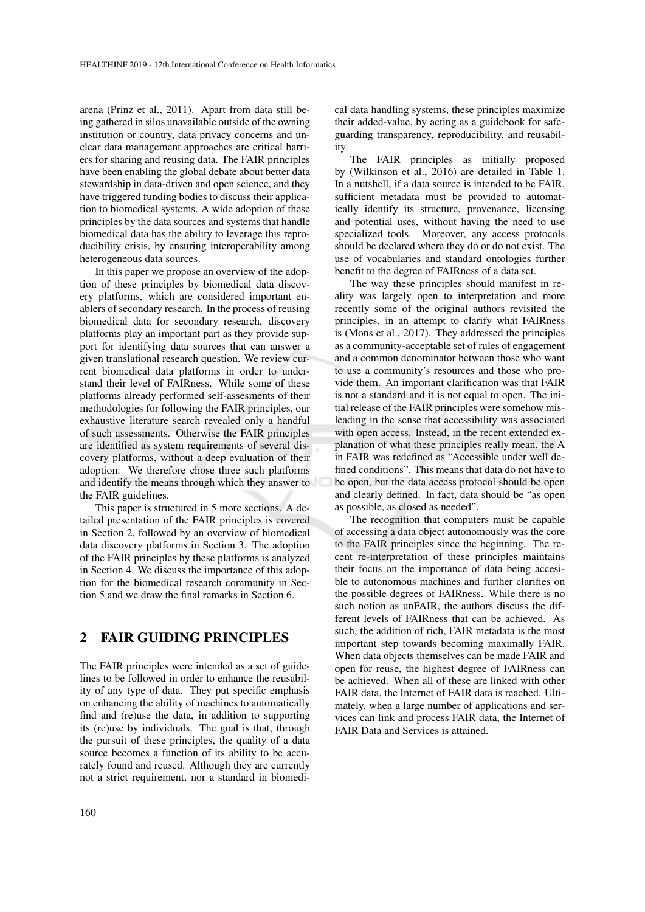arena (Prinz et al., 2011). Apart from data still being gathered in silos unavailable outside of the owning institution or country, data privacy concerns and unclear data management approaches are critical barriers for sharing and reusing data. The FAIR principles have been enabling the global debate about better data stewardship in data-driven and open science, and they have triggered funding bodies to discuss their application to biomedical systems. A wide adoption of these principles by the data sources and systems that handle biomedical data has the ability to leverage this reproducibility crisis, by ensuring interoperability among heterogeneous data sources.

In this paper we propose an overview of the adoption of these principles by biomedical data discovery platforms, which are considered important enablers of secondary research. In the process of reusing biomedical data for secondary research, discovery platforms play an important part as they provide support for identifying data sources that can answer a given translational research question. We review current biomedical data platforms in order to understand their level of FAIRness. While some of these platforms already performed self-assesments of their methodologies for following the FAIR principles, our exhaustive literature search revealed only a handful of such assessments. Otherwise the FAIR principles are identified as system requirements of several discovery platforms, without a deep evaluation of their adoption. We therefore chose three such platforms and identify the means through which they answer to the FAIR guidelines.

This paper is structured in 5 more sections. A detailed presentation of the FAIR principles is covered in Section 2, followed by an overview of biomedical data discovery platforms in Section 3. The adoption of the FAIR principles by these platforms is analyzed in Section 4. We discuss the importance of this adoption for the biomedical research community in Section 5 and we draw the final remarks in Section 6.

#### 2 FAIR GUIDING PRINCIPLES

The FAIR principles were intended as a set of guidelines to be followed in order to enhance the reusability of any type of data. They put specific emphasis on enhancing the ability of machines to automatically find and (re)use the data, in addition to supporting its (re)use by individuals. The goal is that, through the pursuit of these principles, the quality of a data source becomes a function of its ability to be accurately found and reused. Although they are currently not a strict requirement, nor a standard in biomedical data handling systems, these principles maximize their added-value, by acting as a guidebook for safeguarding transparency, reproducibility, and reusability.

The FAIR principles as initially proposed by (Wilkinson et al., 2016) are detailed in Table 1. In a nutshell, if a data source is intended to be FAIR, sufficient metadata must be provided to automatically identify its structure, provenance, licensing and potential uses, without having the need to use specialized tools. Moreover, any access protocols should be declared where they do or do not exist. The use of vocabularies and standard ontologies further benefit to the degree of FAIRness of a data set.

The way these principles should manifest in reality was largely open to interpretation and more recently some of the original authors revisited the principles, in an attempt to clarify what FAIRness is (Mons et al., 2017). They addressed the principles as a community-acceptable set of rules of engagement and a common denominator between those who want to use a community's resources and those who provide them. An important clarification was that FAIR is not a standard and it is not equal to open. The initial release of the FAIR principles were somehow misleading in the sense that accessibility was associated with open access. Instead, in the recent extended explanation of what these principles really mean, the A in FAIR was redefined as "Accessible under well defined conditions". This means that data do not have to be open, but the data access protocol should be open and clearly defined. In fact, data should be "as open as possible, as closed as needed".

The recognition that computers must be capable of accessing a data object autonomously was the core to the FAIR principles since the beginning. The recent re-interpretation of these principles maintains their focus on the importance of data being accesible to autonomous machines and further clarifies on the possible degrees of FAIRness. While there is no such notion as unFAIR, the authors discuss the different levels of FAIRness that can be achieved. As such, the addition of rich, FAIR metadata is the most important step towards becoming maximally FAIR. When data objects themselves can be made FAIR and open for reuse, the highest degree of FAIRness can be achieved. When all of these are linked with other FAIR data, the Internet of FAIR data is reached. Ultimately, when a large number of applications and services can link and process FAIR data, the Internet of FAIR Data and Services is attained.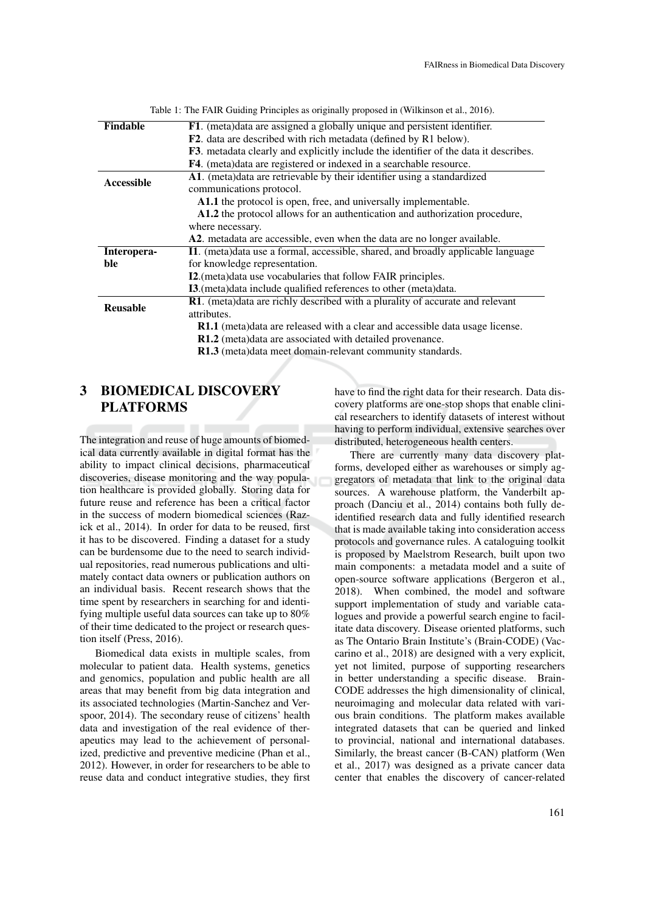| Table 1: The FAIR Guiding Principles as originally proposed in (Wilkinson et al., 2016). |                                                                                          |  |  |  |  |
|------------------------------------------------------------------------------------------|------------------------------------------------------------------------------------------|--|--|--|--|
| Findable                                                                                 | F1. (meta) data are assigned a globally unique and persistent identifier.                |  |  |  |  |
|                                                                                          | <b>F2.</b> data are described with rich metadata (defined by R1 below).                  |  |  |  |  |
|                                                                                          | F3. metadata clearly and explicitly include the identifier of the data it describes.     |  |  |  |  |
|                                                                                          | F4. (meta)data are registered or indexed in a searchable resource.                       |  |  |  |  |
| <b>Accessible</b>                                                                        | A1. (meta)data are retrievable by their identifier using a standardized                  |  |  |  |  |
|                                                                                          | communications protocol.                                                                 |  |  |  |  |
|                                                                                          | A1.1 the protocol is open, free, and universally implementable.                          |  |  |  |  |
|                                                                                          | A1.2 the protocol allows for an authentication and authorization procedure,              |  |  |  |  |
|                                                                                          | where necessary.                                                                         |  |  |  |  |
|                                                                                          | A2. metadata are accessible, even when the data are no longer available.                 |  |  |  |  |
| Interopera-                                                                              | <b>I1.</b> (meta) data use a formal, accessible, shared, and broadly applicable language |  |  |  |  |
| ble                                                                                      | for knowledge representation.                                                            |  |  |  |  |
|                                                                                          | I2. (meta) data use vocabularies that follow FAIR principles.                            |  |  |  |  |
|                                                                                          | <b>I3.</b> (meta) data include qualified references to other (meta) data.                |  |  |  |  |
| <b>Reusable</b>                                                                          | <b>R1.</b> (meta) data are richly described with a plurality of accurate and relevant    |  |  |  |  |
|                                                                                          | attributes.                                                                              |  |  |  |  |
|                                                                                          | <b>R1.1</b> (meta) data are released with a clear and accessible data usage license.     |  |  |  |  |
|                                                                                          | R1.2 (meta)data are associated with detailed provenance.                                 |  |  |  |  |
|                                                                                          | <b>R1.3</b> (meta) data meet domain-relevant community standards.                        |  |  |  |  |

# 3 BIOMEDICAL DISCOVERY PLATFORMS

The integration and reuse of huge amounts of biomedical data currently available in digital format has the ability to impact clinical decisions, pharmaceutical discoveries, disease monitoring and the way population healthcare is provided globally. Storing data for future reuse and reference has been a critical factor in the success of modern biomedical sciences (Razick et al., 2014). In order for data to be reused, first it has to be discovered. Finding a dataset for a study can be burdensome due to the need to search individual repositories, read numerous publications and ultimately contact data owners or publication authors on an individual basis. Recent research shows that the time spent by researchers in searching for and identifying multiple useful data sources can take up to 80% of their time dedicated to the project or research question itself (Press, 2016).

Biomedical data exists in multiple scales, from molecular to patient data. Health systems, genetics and genomics, population and public health are all areas that may benefit from big data integration and its associated technologies (Martin-Sanchez and Verspoor, 2014). The secondary reuse of citizens' health data and investigation of the real evidence of therapeutics may lead to the achievement of personalized, predictive and preventive medicine (Phan et al., 2012). However, in order for researchers to be able to reuse data and conduct integrative studies, they first have to find the right data for their research. Data discovery platforms are one-stop shops that enable clinical researchers to identify datasets of interest without having to perform individual, extensive searches over distributed, heterogeneous health centers.

There are currently many data discovery platforms, developed either as warehouses or simply aggregators of metadata that link to the original data sources. A warehouse platform, the Vanderbilt approach (Danciu et al., 2014) contains both fully deidentified research data and fully identified research that is made available taking into consideration access protocols and governance rules. A cataloguing toolkit is proposed by Maelstrom Research, built upon two main components: a metadata model and a suite of open-source software applications (Bergeron et al., 2018). When combined, the model and software support implementation of study and variable catalogues and provide a powerful search engine to facilitate data discovery. Disease oriented platforms, such as The Ontario Brain Institute's (Brain-CODE) (Vaccarino et al., 2018) are designed with a very explicit, yet not limited, purpose of supporting researchers in better understanding a specific disease. Brain-CODE addresses the high dimensionality of clinical, neuroimaging and molecular data related with various brain conditions. The platform makes available integrated datasets that can be queried and linked to provincial, national and international databases. Similarly, the breast cancer (B-CAN) platform (Wen et al., 2017) was designed as a private cancer data center that enables the discovery of cancer-related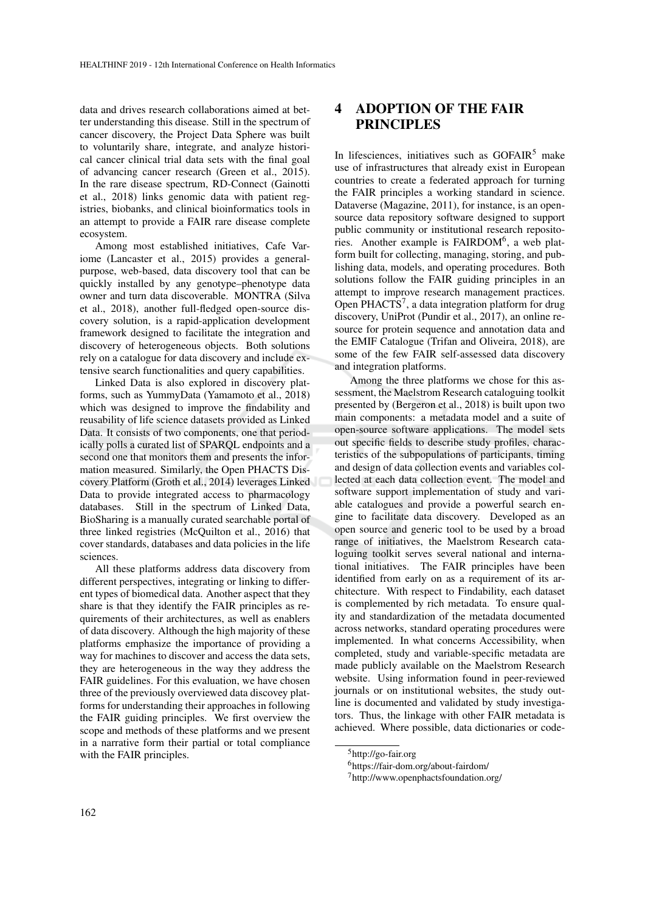data and drives research collaborations aimed at better understanding this disease. Still in the spectrum of cancer discovery, the Project Data Sphere was built to voluntarily share, integrate, and analyze historical cancer clinical trial data sets with the final goal of advancing cancer research (Green et al., 2015). In the rare disease spectrum, RD-Connect (Gainotti et al., 2018) links genomic data with patient registries, biobanks, and clinical bioinformatics tools in an attempt to provide a FAIR rare disease complete ecosystem.

Among most established initiatives, Cafe Variome (Lancaster et al., 2015) provides a generalpurpose, web-based, data discovery tool that can be quickly installed by any genotype–phenotype data owner and turn data discoverable. MONTRA (Silva et al., 2018), another full-fledged open-source discovery solution, is a rapid-application development framework designed to facilitate the integration and discovery of heterogeneous objects. Both solutions rely on a catalogue for data discovery and include extensive search functionalities and query capabilities.

Linked Data is also explored in discovery platforms, such as YummyData (Yamamoto et al., 2018) which was designed to improve the findability and reusability of life science datasets provided as Linked Data. It consists of two components, one that periodically polls a curated list of SPARQL endpoints and a second one that monitors them and presents the information measured. Similarly, the Open PHACTS Discovery Platform (Groth et al., 2014) leverages Linked Data to provide integrated access to pharmacology databases. Still in the spectrum of Linked Data, BioSharing is a manually curated searchable portal of three linked registries (McQuilton et al., 2016) that cover standards, databases and data policies in the life sciences.

All these platforms address data discovery from different perspectives, integrating or linking to different types of biomedical data. Another aspect that they share is that they identify the FAIR principles as requirements of their architectures, as well as enablers of data discovery. Although the high majority of these platforms emphasize the importance of providing a way for machines to discover and access the data sets, they are heterogeneous in the way they address the FAIR guidelines. For this evaluation, we have chosen three of the previously overviewed data discovey platforms for understanding their approaches in following the FAIR guiding principles. We first overview the scope and methods of these platforms and we present in a narrative form their partial or total compliance with the FAIR principles.

## 4 ADOPTION OF THE FAIR PRINCIPLES

In lifesciences, initiatives such as GOFAIR<sup>5</sup> make use of infrastructures that already exist in European countries to create a federated approach for turning the FAIR principles a working standard in science. Dataverse (Magazine, 2011), for instance, is an opensource data repository software designed to support public community or institutional research repositories. Another example is FAIRDOM<sup>6</sup>, a web platform built for collecting, managing, storing, and publishing data, models, and operating procedures. Both solutions follow the FAIR guiding principles in an attempt to improve research management practices. Open PHACTS<sup>7</sup>, a data integration platform for drug discovery, UniProt (Pundir et al., 2017), an online resource for protein sequence and annotation data and the EMIF Catalogue (Trifan and Oliveira, 2018), are some of the few FAIR self-assessed data discovery and integration platforms.

Among the three platforms we chose for this assessment, the Maelstrom Research cataloguing toolkit presented by (Bergeron et al., 2018) is built upon two main components: a metadata model and a suite of open-source software applications. The model sets out specific fields to describe study profiles, characteristics of the subpopulations of participants, timing and design of data collection events and variables collected at each data collection event. The model and software support implementation of study and variable catalogues and provide a powerful search engine to facilitate data discovery. Developed as an open source and generic tool to be used by a broad range of initiatives, the Maelstrom Research cataloguing toolkit serves several national and international initiatives. The FAIR principles have been identified from early on as a requirement of its architecture. With respect to Findability, each dataset is complemented by rich metadata. To ensure quality and standardization of the metadata documented across networks, standard operating procedures were implemented. In what concerns Accessibility, when completed, study and variable-specific metadata are made publicly available on the Maelstrom Research website. Using information found in peer-reviewed journals or on institutional websites, the study outline is documented and validated by study investigators. Thus, the linkage with other FAIR metadata is achieved. Where possible, data dictionaries or code-

<sup>5</sup>http://go-fair.org

<sup>6</sup>https://fair-dom.org/about-fairdom/

<sup>7</sup>http://www.openphactsfoundation.org/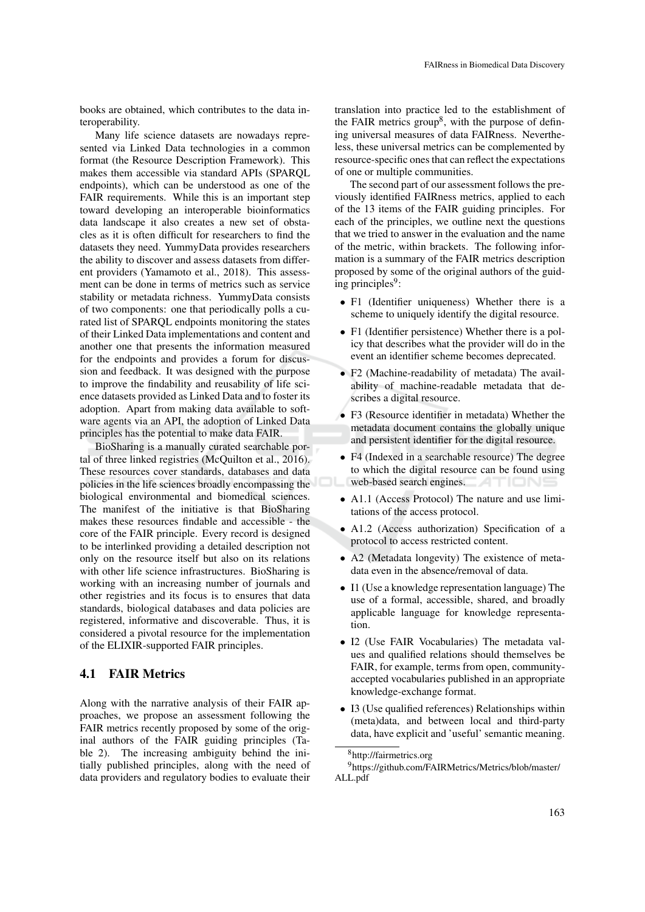books are obtained, which contributes to the data interoperability.

Many life science datasets are nowadays represented via Linked Data technologies in a common format (the Resource Description Framework). This makes them accessible via standard APIs (SPARQL endpoints), which can be understood as one of the FAIR requirements. While this is an important step toward developing an interoperable bioinformatics data landscape it also creates a new set of obstacles as it is often difficult for researchers to find the datasets they need. YummyData provides researchers the ability to discover and assess datasets from different providers (Yamamoto et al., 2018). This assessment can be done in terms of metrics such as service stability or metadata richness. YummyData consists of two components: one that periodically polls a curated list of SPARQL endpoints monitoring the states of their Linked Data implementations and content and another one that presents the information measured for the endpoints and provides a forum for discussion and feedback. It was designed with the purpose to improve the findability and reusability of life science datasets provided as Linked Data and to foster its adoption. Apart from making data available to software agents via an API, the adoption of Linked Data principles has the potential to make data FAIR.

BioSharing is a manually curated searchable portal of three linked registries (McQuilton et al., 2016). These resources cover standards, databases and data policies in the life sciences broadly encompassing the biological environmental and biomedical sciences. The manifest of the initiative is that BioSharing makes these resources findable and accessible - the core of the FAIR principle. Every record is designed to be interlinked providing a detailed description not only on the resource itself but also on its relations with other life science infrastructures. BioSharing is working with an increasing number of journals and other registries and its focus is to ensures that data standards, biological databases and data policies are registered, informative and discoverable. Thus, it is considered a pivotal resource for the implementation of the ELIXIR-supported FAIR principles.

#### 4.1 FAIR Metrics

Along with the narrative analysis of their FAIR approaches, we propose an assessment following the FAIR metrics recently proposed by some of the original authors of the FAIR guiding principles (Table 2). The increasing ambiguity behind the initially published principles, along with the need of data providers and regulatory bodies to evaluate their translation into practice led to the establishment of the FAIR metrics group<sup>8</sup>, with the purpose of defining universal measures of data FAIRness. Nevertheless, these universal metrics can be complemented by resource-specific ones that can reflect the expectations of one or multiple communities.

The second part of our assessment follows the previously identified FAIRness metrics, applied to each of the 13 items of the FAIR guiding principles. For each of the principles, we outline next the questions that we tried to answer in the evaluation and the name of the metric, within brackets. The following information is a summary of the FAIR metrics description proposed by some of the original authors of the guiding principles<sup>9</sup>:

- F1 (Identifier uniqueness) Whether there is a scheme to uniquely identify the digital resource.
- F1 (Identifier persistence) Whether there is a policy that describes what the provider will do in the event an identifier scheme becomes deprecated.
- F2 (Machine-readability of metadata) The availability of machine-readable metadata that describes a digital resource.
- F3 (Resource identifier in metadata) Whether the metadata document contains the globally unique and persistent identifier for the digital resource.
- F4 (Indexed in a searchable resource) The degree to which the digital resource can be found using web-based search engines.
- A1.1 (Access Protocol) The nature and use limitations of the access protocol.
- A1.2 (Access authorization) Specification of a protocol to access restricted content.
- A2 (Metadata longevity) The existence of metadata even in the absence/removal of data.
- I1 (Use a knowledge representation language) The use of a formal, accessible, shared, and broadly applicable language for knowledge representation.
- I2 (Use FAIR Vocabularies) The metadata values and qualified relations should themselves be FAIR, for example, terms from open, communityaccepted vocabularies published in an appropriate knowledge-exchange format.
- I3 (Use qualified references) Relationships within (meta)data, and between local and third-party data, have explicit and 'useful' semantic meaning.

<sup>8</sup>http://fairmetrics.org

<sup>9</sup>https://github.com/FAIRMetrics/Metrics/blob/master/ ALL.pdf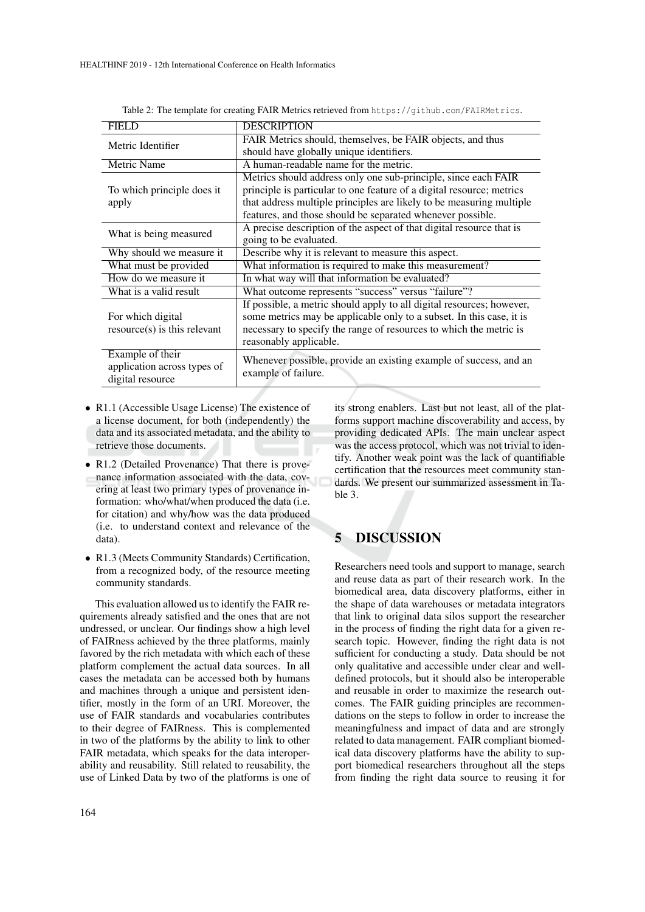| <b>FIELD</b>                                                        | <b>DESCRIPTION</b>                                                                                                                                                                                                                            |  |  |  |  |  |  |  |  |
|---------------------------------------------------------------------|-----------------------------------------------------------------------------------------------------------------------------------------------------------------------------------------------------------------------------------------------|--|--|--|--|--|--|--|--|
| Metric Identifier                                                   | FAIR Metrics should, themselves, be FAIR objects, and thus                                                                                                                                                                                    |  |  |  |  |  |  |  |  |
|                                                                     | should have globally unique identifiers.                                                                                                                                                                                                      |  |  |  |  |  |  |  |  |
| Metric Name                                                         | A human-readable name for the metric.                                                                                                                                                                                                         |  |  |  |  |  |  |  |  |
|                                                                     | Metrics should address only one sub-principle, since each FAIR                                                                                                                                                                                |  |  |  |  |  |  |  |  |
| To which principle does it                                          | principle is particular to one feature of a digital resource; metrics                                                                                                                                                                         |  |  |  |  |  |  |  |  |
| apply                                                               | that address multiple principles are likely to be measuring multiple                                                                                                                                                                          |  |  |  |  |  |  |  |  |
|                                                                     | features, and those should be separated whenever possible.                                                                                                                                                                                    |  |  |  |  |  |  |  |  |
| What is being measured                                              | A precise description of the aspect of that digital resource that is                                                                                                                                                                          |  |  |  |  |  |  |  |  |
|                                                                     | going to be evaluated.                                                                                                                                                                                                                        |  |  |  |  |  |  |  |  |
| Why should we measure it                                            | Describe why it is relevant to measure this aspect.                                                                                                                                                                                           |  |  |  |  |  |  |  |  |
| What must be provided                                               | What information is required to make this measurement?                                                                                                                                                                                        |  |  |  |  |  |  |  |  |
| How do we measure it                                                | In what way will that information be evaluated?                                                                                                                                                                                               |  |  |  |  |  |  |  |  |
| What is a valid result                                              | What outcome represents "success" versus "failure"?                                                                                                                                                                                           |  |  |  |  |  |  |  |  |
| For which digital<br>$resource(s)$ is this relevant                 | If possible, a metric should apply to all digital resources; however,<br>some metrics may be applicable only to a subset. In this case, it is<br>necessary to specify the range of resources to which the metric is<br>reasonably applicable. |  |  |  |  |  |  |  |  |
| Example of their<br>application across types of<br>digital resource | Whenever possible, provide an existing example of success, and an<br>example of failure.                                                                                                                                                      |  |  |  |  |  |  |  |  |

Table 2: The template for creating FAIR Metrics retrieved from https://github.com/FAIRMetrics.

- R1.1 (Accessible Usage License) The existence of a license document, for both (independently) the data and its associated metadata, and the ability to retrieve those documents.
- R1.2 (Detailed Provenance) That there is provenance information associated with the data, covering at least two primary types of provenance information: who/what/when produced the data (i.e. for citation) and why/how was the data produced (i.e. to understand context and relevance of the data).
- R1.3 (Meets Community Standards) Certification, from a recognized body, of the resource meeting community standards.

This evaluation allowed us to identify the FAIR requirements already satisfied and the ones that are not undressed, or unclear. Our findings show a high level of FAIRness achieved by the three platforms, mainly favored by the rich metadata with which each of these platform complement the actual data sources. In all cases the metadata can be accessed both by humans and machines through a unique and persistent identifier, mostly in the form of an URI. Moreover, the use of FAIR standards and vocabularies contributes to their degree of FAIRness. This is complemented in two of the platforms by the ability to link to other FAIR metadata, which speaks for the data interoperability and reusability. Still related to reusability, the use of Linked Data by two of the platforms is one of its strong enablers. Last but not least, all of the platforms support machine discoverability and access, by providing dedicated APIs. The main unclear aspect was the access protocol, which was not trivial to identify. Another weak point was the lack of quantifiable certification that the resources meet community standards. We present our summarized assessment in Table 3.

# 5 DISCUSSION

Researchers need tools and support to manage, search and reuse data as part of their research work. In the biomedical area, data discovery platforms, either in the shape of data warehouses or metadata integrators that link to original data silos support the researcher in the process of finding the right data for a given research topic. However, finding the right data is not sufficient for conducting a study. Data should be not only qualitative and accessible under clear and welldefined protocols, but it should also be interoperable and reusable in order to maximize the research outcomes. The FAIR guiding principles are recommendations on the steps to follow in order to increase the meaningfulness and impact of data and are strongly related to data management. FAIR compliant biomedical data discovery platforms have the ability to support biomedical researchers throughout all the steps from finding the right data source to reusing it for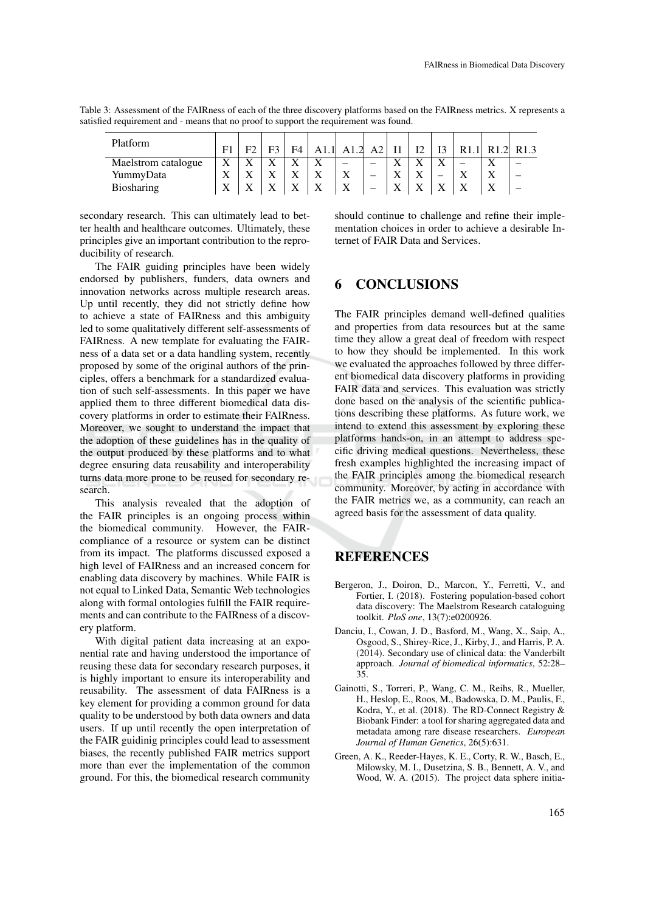Table 3: Assessment of the FAIRness of each of the three discovery platforms based on the FAIRness metrics. X represents a satisfied requirement and - means that no proof to support the requirement was found.

| Platform            | F <sub>1</sub> | F٦ | F٩                        | F4           |   |   |                   | 12     | I3 |             | R12 | R <sub>1.3</sub> |
|---------------------|----------------|----|---------------------------|--------------|---|---|-------------------|--------|----|-------------|-----|------------------|
| Maelstrom catalogue | X              | v  | v<br>Λ                    |              | - | - | v<br>△            | v<br>△ | v  |             |     |                  |
| YummyData           | ∧              | v  | $\mathbf{v}$<br>$\Lambda$ |              | Х | - | $\mathbf{v}$<br>Λ | v<br>Δ |    |             |     |                  |
| <b>Biosharing</b>   | $\mathbf{v}$   | v  | v                         | $\mathbf{v}$ | Χ | - | X                 | X      | X  | $\mathbf v$ |     |                  |

secondary research. This can ultimately lead to better health and healthcare outcomes. Ultimately, these principles give an important contribution to the reproducibility of research.

The FAIR guiding principles have been widely endorsed by publishers, funders, data owners and innovation networks across multiple research areas. Up until recently, they did not strictly define how to achieve a state of FAIRness and this ambiguity led to some qualitatively different self-assessments of FAIRness. A new template for evaluating the FAIRness of a data set or a data handling system, recently proposed by some of the original authors of the principles, offers a benchmark for a standardized evaluation of such self-assessments. In this paper we have applied them to three different biomedical data discovery platforms in order to estimate their FAIRness. Moreover, we sought to understand the impact that the adoption of these guidelines has in the quality of the output produced by these platforms and to what degree ensuring data reusability and interoperability turns data more prone to be reused for secondary research.

This analysis revealed that the adoption of the FAIR principles is an ongoing process within the biomedical community. However, the FAIRcompliance of a resource or system can be distinct from its impact. The platforms discussed exposed a high level of FAIRness and an increased concern for enabling data discovery by machines. While FAIR is not equal to Linked Data, Semantic Web technologies along with formal ontologies fulfill the FAIR requirements and can contribute to the FAIRness of a discovery platform.

With digital patient data increasing at an exponential rate and having understood the importance of reusing these data for secondary research purposes, it is highly important to ensure its interoperability and reusability. The assessment of data FAIRness is a key element for providing a common ground for data quality to be understood by both data owners and data users. If up until recently the open interpretation of the FAIR guidinig principles could lead to assessment biases, the recently published FAIR metrics support more than ever the implementation of the common ground. For this, the biomedical research community

should continue to challenge and refine their implementation choices in order to achieve a desirable Internet of FAIR Data and Services.

## 6 CONCLUSIONS

The FAIR principles demand well-defined qualities and properties from data resources but at the same time they allow a great deal of freedom with respect to how they should be implemented. In this work we evaluated the approaches followed by three different biomedical data discovery platforms in providing FAIR data and services. This evaluation was strictly done based on the analysis of the scientific publications describing these platforms. As future work, we intend to extend this assessment by exploring these platforms hands-on, in an attempt to address specific driving medical questions. Nevertheless, these fresh examples highlighted the increasing impact of the FAIR principles among the biomedical research community. Moreover, by acting in accordance with the FAIR metrics we, as a community, can reach an agreed basis for the assessment of data quality.

## **REFERENCES**

- Bergeron, J., Doiron, D., Marcon, Y., Ferretti, V., and Fortier, I. (2018). Fostering population-based cohort data discovery: The Maelstrom Research cataloguing toolkit. *PloS one*, 13(7):e0200926.
- Danciu, I., Cowan, J. D., Basford, M., Wang, X., Saip, A., Osgood, S., Shirey-Rice, J., Kirby, J., and Harris, P. A. (2014). Secondary use of clinical data: the Vanderbilt approach. *Journal of biomedical informatics*, 52:28– 35.
- Gainotti, S., Torreri, P., Wang, C. M., Reihs, R., Mueller, H., Heslop, E., Roos, M., Badowska, D. M., Paulis, F., Kodra, Y., et al. (2018). The RD-Connect Registry & Biobank Finder: a tool for sharing aggregated data and metadata among rare disease researchers. *European Journal of Human Genetics*, 26(5):631.
- Green, A. K., Reeder-Hayes, K. E., Corty, R. W., Basch, E., Milowsky, M. I., Dusetzina, S. B., Bennett, A. V., and Wood, W. A. (2015). The project data sphere initia-